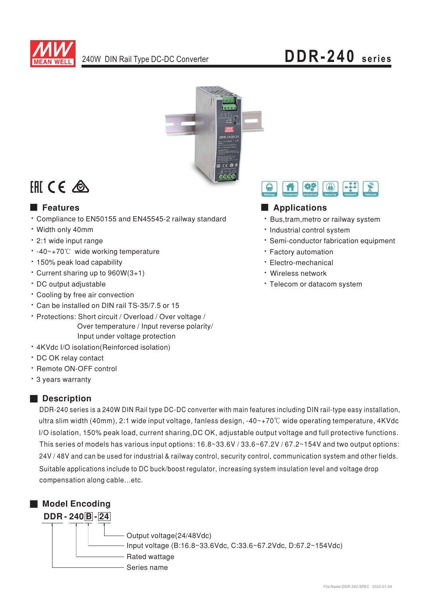



# **EHI CE ▲**

### **E** Features

- \* Compliance to EN50155 and EN45545-2 railway standard
- · Width only 40mm
- · 2:1 wide input range
- -40~+70℃ wide working temperature
- 150% peak load capability
- Current sharing up to 960W(3+1)
- · DC output adjustable
- Cooling by free air convection
- \* Can be installed on DIN rail TS-35/7.5 or 15
- · Protections: Short circuit / Overload / Over voltage / Over temperature / Input reverse polarity/ Input under voltage protection
- 4KVdc I/O isolation(Reinforced isolation)
- · DC OK relav contact
- · Remote ON-OFF control
- \* 3 years warranty

### Description

DDR-240 series is a 240W DIN Rail type DC-DC converter with main features including DIN rail-type easy installation, ultra slim width (40mm), 2:1 wide input voltage, fanless design, -40~+70°C wide operating temperature, 4KVdc I/O isolation, 150% peak load, current sharing, DC OK, adjustable output voltage and full protective functions. This series of models has various input options:  $16.8 \times 33.6 \times 67.2 \times 67.2 \times 154$ V and two output options: 24V / 48V and can be used for industrial & railway control, security control, communication system and other fields. Suitable applications include to DC buck/boost regulator, increasing system insulation level and voltage drop compensation along cable...etc.



#### 機  $\bigcirc$ ₽ A Applications

### · Bus, tram, metro or railway system

- · Industrial control system
- · Semi-conductor fabrication equipment
- · Factory automation
- · Electro-mechanical
- · Wireless network
- · Telecom or datacom system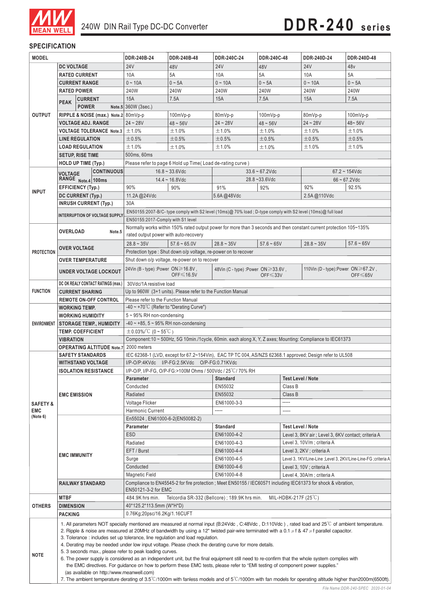

#### **SPECIFICATION**

| <b>24V</b><br><b>DC VOLTAGE</b><br>24 <sub>V</sub><br>48V<br><b>24V</b><br>48V<br>48 <sub>v</sub><br><b>RATED CURRENT</b><br>10A<br>5A<br>10A<br>5A<br>10A<br>5A<br>$0 - 10A$<br>$0 - 10A$<br>$0 - 10A$<br>$0 \sim 5A$<br><b>CURRENT RANGE</b><br>$0 \sim 5A$<br>$0 \sim 5A$<br>240W<br><b>RATED POWER</b><br>240W<br>240W<br>240W<br>240W<br>240W<br>15A<br>7.5A<br>15A<br>7.5A<br>15A<br>7.5A<br><b>CURRENT</b><br><b>PEAK</b><br><b>POWER</b><br>Note.5 360W (3sec.)<br><b>OUTPUT</b><br>RIPPLE & NOISE (max.) Note.2 80mVp-p<br>80mVp-p<br>80mVp-p<br>100mVp-p<br>100mVp-p<br>100mVp-p<br><b>VOLTAGE ADJ. RANGE</b><br>$24 - 28V$<br>$24 - 28V$<br>$24 - 28V$<br>$48 - 56V$<br>$48 - 56V$<br>48~56V<br><b>VOLTAGE TOLERANCE Note.3</b><br>±1.0%<br>±1.0%<br>±1.0%<br>±1.0%<br>±1.0%<br>±1.0%<br><b>LINE REGULATION</b><br>±0.5%<br>±0.5%<br>±0.5%<br>±0.5%<br>±0.5%<br>±0.5%<br><b>LOAD REGULATION</b><br>±1.0%<br>±1.0%<br>±1.0%<br>±1.0%<br>±1.0%<br>±1.0%<br>500ms, 60ms<br><b>SETUP, RISE TIME</b><br><b>HOLD UP TIME (Typ.)</b><br>Please refer to page 6 Hold up Time (Load de-rating curve)<br><b>CONTINUOUS</b><br>$16.8 - 33.6$ Vdc<br>$33.6 - 67.2$ Vdc<br>$67.2 \sim 154$ Vdc<br><b>VOLTAGE</b><br>RANGE Note.4 100ms<br>$14.4 - 16.8$ Vdc<br>$28.8 - 33.6$ Vdc<br>$66 - 67.2$ Vdc<br><b>EFFICIENCY (Typ.)</b><br>90%<br>90%<br>91%<br>92%<br>92%<br>92.5%<br><b>INPUT</b><br>11.2A@24Vdc<br>5.6A@48Vdc<br><b>DC CURRENT (Typ.)</b><br>2.5A@110Vdc<br>30A<br><b>INRUSH CURRENT (Typ.)</b><br>EN50155:2007-B/C-type comply with S2 level (10ms)@ 70% load; D-type comply with S2 level (10ms)@ full load<br><b>INTERRUPTION OF VOLTAGE SUPPLY</b><br>EN50155:2017-Comply with S1 level<br>Normally works within 150% rated output power for more than 3 seconds and then constant current protection 105~135%<br><b>OVERLOAD</b><br>Note.5<br>rated output power with auto-recovery<br>$28.8 - 35V$<br>$57.6 - 65.0V$<br>$28.8 - 35V$<br>$57.6 - 65V$<br>$57.6 - 65V$<br>$28.8 - 35V$<br><b>OVER VOLTAGE</b><br>Protection type : Shut down o/p voltage, re-power on to recover<br><b>PROTECTION</b><br>Shut down o/p voltage, re-power on to recover<br><b>OVER TEMPERATURE</b><br>24Vin (B - type) : Power $ON \ge 16.8V$ ,<br>110Vin (D - type): Power $ON \ge 67.2V$ ,<br>48Vin (C - type) : Power $ON \ge 33.6V$ ,<br><b>UNDER VOLTAGE LOCKOUT</b><br>OFF $\leq 16.5V$<br>$OFF \leq 65V$<br>OFF $\leq 33V$<br>DC OK REALY CONTACT RATINGS (max.)<br>30Vdc/1A resistive load<br><b>FUNCTION</b><br>Up to 960W (3+1 units). Please refer to the Function Manual<br><b>CURRENT SHARING</b><br>Please refer to the Function Manual<br><b>REMOTE ON-OFF CONTROL</b><br>-40 ~ +70°C (Refer to "Derating Curve")<br><b>WORKING TEMP.</b><br>5~95% RH non-condensing<br><b>WORKING HUMIDITY</b><br>$-40$ ~ +85, 5 ~ 95% RH non-condensing<br>ENVIRONMENT   STORAGE TEMP., HUMIDITY<br>$\pm 0.03\%$ /°C (0 ~ 55°C)<br><b>TEMP. COEFFICIENT</b><br>Component: 10 ~ 500Hz, 5G 10min./1cycle, 60min. each along X, Y, Z axes; Mounting: Compliance to IEC61373<br><b>VIBRATION</b><br>2000 meters<br><b>OPERATING ALTITUDE Note.7</b><br>IEC 62368-1 (LVD, except for 67.2~154Vin), EAC TP TC 004, AS/NZS 62368.1 approved; Design refer to UL508<br><b>SAFETY STANDARDS</b><br><b>WITHSTAND VOLTAGE</b><br>I/P-O/P:4KVdc I/P-FG:2.5KVdc O/P-FG:0.71KVdc<br>I/P-O/P, I/P-FG, O/P-FG:>100M Ohms / 500Vdc / 25°C/70% RH<br><b>ISOLATION RESISTANCE</b><br><b>Test Level / Note</b><br>Parameter<br><b>Standard</b><br>Conducted<br>EN55032<br>Class B<br>EN55032<br>Radiated<br>Class B<br><b>EMC EMISSION</b><br>-----<br>Voltage Flicker<br>EN61000-3-3<br><b>SAFETY &amp;</b><br><b>EMC</b><br>Harmonic Current<br>-----<br>-----<br>(Note 6)<br>En55024, EN61000-6-2(EN50082-2)<br><b>Standard</b><br><b>Test Level / Note</b><br><b>Parameter</b><br><b>ESD</b><br>EN61000-4-2<br>Level 3, 8KV air ; Level 3, 6KV contact; criteria A<br>Level 3, 10V/m; criteria A<br>Radiated<br>EN61000-4-3<br>EFT/Burst<br>EN61000-4-4<br>Level 3, 2KV ; criteria A<br><b>EMC IMMUNITY</b><br>EN61000-4-5<br>Level 3, 1KV/Line-Line ; Level 3, 2KV/Line-Line-FG ; criteria A<br>Surge<br>Conducted<br>EN61000-4-6<br>Level 3, 10V; criteria A<br>EN61000-4-8<br><b>Magnetic Field</b><br>Level 4, 30A/m; criteria A<br>Compliance to EN45545-2 for fire protection; Meet EN50155 / IEC60571 including IEC61373 for shock & vibration,<br><b>RAILWAY STANDARD</b><br>EN50121-3-2 for EMC<br><b>MTBF</b><br>Telcordia SR-332 (Bellcore); 189.9K hrs min.<br>MIL-HDBK-217F $(25^{\circ}C)$<br>484.9K hrs min.<br><b>OTHERS</b><br><b>DIMENSION</b><br>40*125.2*113.5mm (W*H*D)<br>0.76Kg;20psc/16.2Kg/1.16CUFT<br><b>PACKING</b><br>1. All parameters NOT specially mentioned are measured at normal input (B:24Vdc, C:48Vdc, D:110Vdc), rated load and 25°C of ambient temperature.<br>2. Ripple & noise are measured at 20MHz of bandwidth by using a 12" twisted pair-wire terminated with a 0.1 $\mu$ f & 47 $\mu$ f parallel capacitor.<br>3. Tolerance: includes set up tolerance, line regulation and load regulation.<br>4. Derating may be needed under low input voltage. Please check the derating curve for more details.<br>5. 3 seconds max., please refer to peak loading curves.<br><b>NOTE</b><br>6. The power supply is considered as an independent unit, but the final equipment still need to re-confirm that the whole system complies with<br>the EMC directives. For guidance on how to perform these EMC tests, please refer to "EMI testing of component power supplies."<br>(as available on http://www.meanwell.com) | <b>MODEL</b> |  |  | DDR-240B-24 | DDR-240B-48 | DDR-240C-24 | DDR-240C-48 | DDR-240D-24 | DDR-240D-48 |  |
|---------------------------------------------------------------------------------------------------------------------------------------------------------------------------------------------------------------------------------------------------------------------------------------------------------------------------------------------------------------------------------------------------------------------------------------------------------------------------------------------------------------------------------------------------------------------------------------------------------------------------------------------------------------------------------------------------------------------------------------------------------------------------------------------------------------------------------------------------------------------------------------------------------------------------------------------------------------------------------------------------------------------------------------------------------------------------------------------------------------------------------------------------------------------------------------------------------------------------------------------------------------------------------------------------------------------------------------------------------------------------------------------------------------------------------------------------------------------------------------------------------------------------------------------------------------------------------------------------------------------------------------------------------------------------------------------------------------------------------------------------------------------------------------------------------------------------------------------------------------------------------------------------------------------------------------------------------------------------------------------------------------------------------------------------------------------------------------------------------------------------------------------------------------------------------------------------------------------------------------------------------------------------------------------------------------------------------------------------------------------------------------------------------------------------------------------------------------------------------------------------------------------------------------------------------------------------------------------------------------------------------------------------------------------------------------------------------------------------------------------------------------------------------------------------------------------------------------------------------------------------------------------------------------------------------------------------------------------------------------------------------------------------------------------------------------------------------------------------------------------------------------------------------------------------------------------------------------------------------------------------------------------------------------------------------------------------------------------------------------------------------------------------------------------------------------------------------------------------------------------------------------------------------------------------------------------------------------------------------------------------------------------------------------------------------------------------------------------------------------------------------------------------------------------------------------------------------------------------------------------------------------------------------------------------------------------------------------------------------------------------------------------------------------------------------------------------------------------------------------------------------------------------------------------------------------------------------------------------------------------------------------------------------------------------------------------------------------------------------------------------------------------------------------------------------------------------------------------------------------------------------------------------------------------------------------------------------------------------------------------------------------------------------------------------------------------------------------------------------------------------------------------------------------------------------------------------------------------------------------------------------------------------------------------------------------------------------------------------------------------------------------------------------------------------------------------------------------------------------------------------------------------------------------------------------------------------------------------------------------------------------------------------------------------------------------------------------------------------------------------------------------------------------------------------------------------------------------------------------------------------------------------------------------------------------------------------------------------------------------------------------------------|--------------|--|--|-------------|-------------|-------------|-------------|-------------|-------------|--|
|                                                                                                                                                                                                                                                                                                                                                                                                                                                                                                                                                                                                                                                                                                                                                                                                                                                                                                                                                                                                                                                                                                                                                                                                                                                                                                                                                                                                                                                                                                                                                                                                                                                                                                                                                                                                                                                                                                                                                                                                                                                                                                                                                                                                                                                                                                                                                                                                                                                                                                                                                                                                                                                                                                                                                                                                                                                                                                                                                                                                                                                                                                                                                                                                                                                                                                                                                                                                                                                                                                                                                                                                                                                                                                                                                                                                                                                                                                                                                                                                                                                                                                                                                                                                                                                                                                                                                                                                                                                                                                                                                                                                                                                                                                                                                                                                                                                                                                                                                                                                                                                                                                                                                                                                                                                                                                                                                                                                                                                                                                                                                                                                                                             |              |  |  |             |             |             |             |             |             |  |
|                                                                                                                                                                                                                                                                                                                                                                                                                                                                                                                                                                                                                                                                                                                                                                                                                                                                                                                                                                                                                                                                                                                                                                                                                                                                                                                                                                                                                                                                                                                                                                                                                                                                                                                                                                                                                                                                                                                                                                                                                                                                                                                                                                                                                                                                                                                                                                                                                                                                                                                                                                                                                                                                                                                                                                                                                                                                                                                                                                                                                                                                                                                                                                                                                                                                                                                                                                                                                                                                                                                                                                                                                                                                                                                                                                                                                                                                                                                                                                                                                                                                                                                                                                                                                                                                                                                                                                                                                                                                                                                                                                                                                                                                                                                                                                                                                                                                                                                                                                                                                                                                                                                                                                                                                                                                                                                                                                                                                                                                                                                                                                                                                                             |              |  |  |             |             |             |             |             |             |  |
|                                                                                                                                                                                                                                                                                                                                                                                                                                                                                                                                                                                                                                                                                                                                                                                                                                                                                                                                                                                                                                                                                                                                                                                                                                                                                                                                                                                                                                                                                                                                                                                                                                                                                                                                                                                                                                                                                                                                                                                                                                                                                                                                                                                                                                                                                                                                                                                                                                                                                                                                                                                                                                                                                                                                                                                                                                                                                                                                                                                                                                                                                                                                                                                                                                                                                                                                                                                                                                                                                                                                                                                                                                                                                                                                                                                                                                                                                                                                                                                                                                                                                                                                                                                                                                                                                                                                                                                                                                                                                                                                                                                                                                                                                                                                                                                                                                                                                                                                                                                                                                                                                                                                                                                                                                                                                                                                                                                                                                                                                                                                                                                                                                             |              |  |  |             |             |             |             |             |             |  |
|                                                                                                                                                                                                                                                                                                                                                                                                                                                                                                                                                                                                                                                                                                                                                                                                                                                                                                                                                                                                                                                                                                                                                                                                                                                                                                                                                                                                                                                                                                                                                                                                                                                                                                                                                                                                                                                                                                                                                                                                                                                                                                                                                                                                                                                                                                                                                                                                                                                                                                                                                                                                                                                                                                                                                                                                                                                                                                                                                                                                                                                                                                                                                                                                                                                                                                                                                                                                                                                                                                                                                                                                                                                                                                                                                                                                                                                                                                                                                                                                                                                                                                                                                                                                                                                                                                                                                                                                                                                                                                                                                                                                                                                                                                                                                                                                                                                                                                                                                                                                                                                                                                                                                                                                                                                                                                                                                                                                                                                                                                                                                                                                                                             |              |  |  |             |             |             |             |             |             |  |
|                                                                                                                                                                                                                                                                                                                                                                                                                                                                                                                                                                                                                                                                                                                                                                                                                                                                                                                                                                                                                                                                                                                                                                                                                                                                                                                                                                                                                                                                                                                                                                                                                                                                                                                                                                                                                                                                                                                                                                                                                                                                                                                                                                                                                                                                                                                                                                                                                                                                                                                                                                                                                                                                                                                                                                                                                                                                                                                                                                                                                                                                                                                                                                                                                                                                                                                                                                                                                                                                                                                                                                                                                                                                                                                                                                                                                                                                                                                                                                                                                                                                                                                                                                                                                                                                                                                                                                                                                                                                                                                                                                                                                                                                                                                                                                                                                                                                                                                                                                                                                                                                                                                                                                                                                                                                                                                                                                                                                                                                                                                                                                                                                                             |              |  |  |             |             |             |             |             |             |  |
|                                                                                                                                                                                                                                                                                                                                                                                                                                                                                                                                                                                                                                                                                                                                                                                                                                                                                                                                                                                                                                                                                                                                                                                                                                                                                                                                                                                                                                                                                                                                                                                                                                                                                                                                                                                                                                                                                                                                                                                                                                                                                                                                                                                                                                                                                                                                                                                                                                                                                                                                                                                                                                                                                                                                                                                                                                                                                                                                                                                                                                                                                                                                                                                                                                                                                                                                                                                                                                                                                                                                                                                                                                                                                                                                                                                                                                                                                                                                                                                                                                                                                                                                                                                                                                                                                                                                                                                                                                                                                                                                                                                                                                                                                                                                                                                                                                                                                                                                                                                                                                                                                                                                                                                                                                                                                                                                                                                                                                                                                                                                                                                                                                             |              |  |  |             |             |             |             |             |             |  |
|                                                                                                                                                                                                                                                                                                                                                                                                                                                                                                                                                                                                                                                                                                                                                                                                                                                                                                                                                                                                                                                                                                                                                                                                                                                                                                                                                                                                                                                                                                                                                                                                                                                                                                                                                                                                                                                                                                                                                                                                                                                                                                                                                                                                                                                                                                                                                                                                                                                                                                                                                                                                                                                                                                                                                                                                                                                                                                                                                                                                                                                                                                                                                                                                                                                                                                                                                                                                                                                                                                                                                                                                                                                                                                                                                                                                                                                                                                                                                                                                                                                                                                                                                                                                                                                                                                                                                                                                                                                                                                                                                                                                                                                                                                                                                                                                                                                                                                                                                                                                                                                                                                                                                                                                                                                                                                                                                                                                                                                                                                                                                                                                                                             |              |  |  |             |             |             |             |             |             |  |
|                                                                                                                                                                                                                                                                                                                                                                                                                                                                                                                                                                                                                                                                                                                                                                                                                                                                                                                                                                                                                                                                                                                                                                                                                                                                                                                                                                                                                                                                                                                                                                                                                                                                                                                                                                                                                                                                                                                                                                                                                                                                                                                                                                                                                                                                                                                                                                                                                                                                                                                                                                                                                                                                                                                                                                                                                                                                                                                                                                                                                                                                                                                                                                                                                                                                                                                                                                                                                                                                                                                                                                                                                                                                                                                                                                                                                                                                                                                                                                                                                                                                                                                                                                                                                                                                                                                                                                                                                                                                                                                                                                                                                                                                                                                                                                                                                                                                                                                                                                                                                                                                                                                                                                                                                                                                                                                                                                                                                                                                                                                                                                                                                                             |              |  |  |             |             |             |             |             |             |  |
|                                                                                                                                                                                                                                                                                                                                                                                                                                                                                                                                                                                                                                                                                                                                                                                                                                                                                                                                                                                                                                                                                                                                                                                                                                                                                                                                                                                                                                                                                                                                                                                                                                                                                                                                                                                                                                                                                                                                                                                                                                                                                                                                                                                                                                                                                                                                                                                                                                                                                                                                                                                                                                                                                                                                                                                                                                                                                                                                                                                                                                                                                                                                                                                                                                                                                                                                                                                                                                                                                                                                                                                                                                                                                                                                                                                                                                                                                                                                                                                                                                                                                                                                                                                                                                                                                                                                                                                                                                                                                                                                                                                                                                                                                                                                                                                                                                                                                                                                                                                                                                                                                                                                                                                                                                                                                                                                                                                                                                                                                                                                                                                                                                             |              |  |  |             |             |             |             |             |             |  |
|                                                                                                                                                                                                                                                                                                                                                                                                                                                                                                                                                                                                                                                                                                                                                                                                                                                                                                                                                                                                                                                                                                                                                                                                                                                                                                                                                                                                                                                                                                                                                                                                                                                                                                                                                                                                                                                                                                                                                                                                                                                                                                                                                                                                                                                                                                                                                                                                                                                                                                                                                                                                                                                                                                                                                                                                                                                                                                                                                                                                                                                                                                                                                                                                                                                                                                                                                                                                                                                                                                                                                                                                                                                                                                                                                                                                                                                                                                                                                                                                                                                                                                                                                                                                                                                                                                                                                                                                                                                                                                                                                                                                                                                                                                                                                                                                                                                                                                                                                                                                                                                                                                                                                                                                                                                                                                                                                                                                                                                                                                                                                                                                                                             |              |  |  |             |             |             |             |             |             |  |
|                                                                                                                                                                                                                                                                                                                                                                                                                                                                                                                                                                                                                                                                                                                                                                                                                                                                                                                                                                                                                                                                                                                                                                                                                                                                                                                                                                                                                                                                                                                                                                                                                                                                                                                                                                                                                                                                                                                                                                                                                                                                                                                                                                                                                                                                                                                                                                                                                                                                                                                                                                                                                                                                                                                                                                                                                                                                                                                                                                                                                                                                                                                                                                                                                                                                                                                                                                                                                                                                                                                                                                                                                                                                                                                                                                                                                                                                                                                                                                                                                                                                                                                                                                                                                                                                                                                                                                                                                                                                                                                                                                                                                                                                                                                                                                                                                                                                                                                                                                                                                                                                                                                                                                                                                                                                                                                                                                                                                                                                                                                                                                                                                                             |              |  |  |             |             |             |             |             |             |  |
|                                                                                                                                                                                                                                                                                                                                                                                                                                                                                                                                                                                                                                                                                                                                                                                                                                                                                                                                                                                                                                                                                                                                                                                                                                                                                                                                                                                                                                                                                                                                                                                                                                                                                                                                                                                                                                                                                                                                                                                                                                                                                                                                                                                                                                                                                                                                                                                                                                                                                                                                                                                                                                                                                                                                                                                                                                                                                                                                                                                                                                                                                                                                                                                                                                                                                                                                                                                                                                                                                                                                                                                                                                                                                                                                                                                                                                                                                                                                                                                                                                                                                                                                                                                                                                                                                                                                                                                                                                                                                                                                                                                                                                                                                                                                                                                                                                                                                                                                                                                                                                                                                                                                                                                                                                                                                                                                                                                                                                                                                                                                                                                                                                             |              |  |  |             |             |             |             |             |             |  |
|                                                                                                                                                                                                                                                                                                                                                                                                                                                                                                                                                                                                                                                                                                                                                                                                                                                                                                                                                                                                                                                                                                                                                                                                                                                                                                                                                                                                                                                                                                                                                                                                                                                                                                                                                                                                                                                                                                                                                                                                                                                                                                                                                                                                                                                                                                                                                                                                                                                                                                                                                                                                                                                                                                                                                                                                                                                                                                                                                                                                                                                                                                                                                                                                                                                                                                                                                                                                                                                                                                                                                                                                                                                                                                                                                                                                                                                                                                                                                                                                                                                                                                                                                                                                                                                                                                                                                                                                                                                                                                                                                                                                                                                                                                                                                                                                                                                                                                                                                                                                                                                                                                                                                                                                                                                                                                                                                                                                                                                                                                                                                                                                                                             |              |  |  |             |             |             |             |             |             |  |
|                                                                                                                                                                                                                                                                                                                                                                                                                                                                                                                                                                                                                                                                                                                                                                                                                                                                                                                                                                                                                                                                                                                                                                                                                                                                                                                                                                                                                                                                                                                                                                                                                                                                                                                                                                                                                                                                                                                                                                                                                                                                                                                                                                                                                                                                                                                                                                                                                                                                                                                                                                                                                                                                                                                                                                                                                                                                                                                                                                                                                                                                                                                                                                                                                                                                                                                                                                                                                                                                                                                                                                                                                                                                                                                                                                                                                                                                                                                                                                                                                                                                                                                                                                                                                                                                                                                                                                                                                                                                                                                                                                                                                                                                                                                                                                                                                                                                                                                                                                                                                                                                                                                                                                                                                                                                                                                                                                                                                                                                                                                                                                                                                                             |              |  |  |             |             |             |             |             |             |  |
|                                                                                                                                                                                                                                                                                                                                                                                                                                                                                                                                                                                                                                                                                                                                                                                                                                                                                                                                                                                                                                                                                                                                                                                                                                                                                                                                                                                                                                                                                                                                                                                                                                                                                                                                                                                                                                                                                                                                                                                                                                                                                                                                                                                                                                                                                                                                                                                                                                                                                                                                                                                                                                                                                                                                                                                                                                                                                                                                                                                                                                                                                                                                                                                                                                                                                                                                                                                                                                                                                                                                                                                                                                                                                                                                                                                                                                                                                                                                                                                                                                                                                                                                                                                                                                                                                                                                                                                                                                                                                                                                                                                                                                                                                                                                                                                                                                                                                                                                                                                                                                                                                                                                                                                                                                                                                                                                                                                                                                                                                                                                                                                                                                             |              |  |  |             |             |             |             |             |             |  |
|                                                                                                                                                                                                                                                                                                                                                                                                                                                                                                                                                                                                                                                                                                                                                                                                                                                                                                                                                                                                                                                                                                                                                                                                                                                                                                                                                                                                                                                                                                                                                                                                                                                                                                                                                                                                                                                                                                                                                                                                                                                                                                                                                                                                                                                                                                                                                                                                                                                                                                                                                                                                                                                                                                                                                                                                                                                                                                                                                                                                                                                                                                                                                                                                                                                                                                                                                                                                                                                                                                                                                                                                                                                                                                                                                                                                                                                                                                                                                                                                                                                                                                                                                                                                                                                                                                                                                                                                                                                                                                                                                                                                                                                                                                                                                                                                                                                                                                                                                                                                                                                                                                                                                                                                                                                                                                                                                                                                                                                                                                                                                                                                                                             |              |  |  |             |             |             |             |             |             |  |
|                                                                                                                                                                                                                                                                                                                                                                                                                                                                                                                                                                                                                                                                                                                                                                                                                                                                                                                                                                                                                                                                                                                                                                                                                                                                                                                                                                                                                                                                                                                                                                                                                                                                                                                                                                                                                                                                                                                                                                                                                                                                                                                                                                                                                                                                                                                                                                                                                                                                                                                                                                                                                                                                                                                                                                                                                                                                                                                                                                                                                                                                                                                                                                                                                                                                                                                                                                                                                                                                                                                                                                                                                                                                                                                                                                                                                                                                                                                                                                                                                                                                                                                                                                                                                                                                                                                                                                                                                                                                                                                                                                                                                                                                                                                                                                                                                                                                                                                                                                                                                                                                                                                                                                                                                                                                                                                                                                                                                                                                                                                                                                                                                                             |              |  |  |             |             |             |             |             |             |  |
|                                                                                                                                                                                                                                                                                                                                                                                                                                                                                                                                                                                                                                                                                                                                                                                                                                                                                                                                                                                                                                                                                                                                                                                                                                                                                                                                                                                                                                                                                                                                                                                                                                                                                                                                                                                                                                                                                                                                                                                                                                                                                                                                                                                                                                                                                                                                                                                                                                                                                                                                                                                                                                                                                                                                                                                                                                                                                                                                                                                                                                                                                                                                                                                                                                                                                                                                                                                                                                                                                                                                                                                                                                                                                                                                                                                                                                                                                                                                                                                                                                                                                                                                                                                                                                                                                                                                                                                                                                                                                                                                                                                                                                                                                                                                                                                                                                                                                                                                                                                                                                                                                                                                                                                                                                                                                                                                                                                                                                                                                                                                                                                                                                             |              |  |  |             |             |             |             |             |             |  |
|                                                                                                                                                                                                                                                                                                                                                                                                                                                                                                                                                                                                                                                                                                                                                                                                                                                                                                                                                                                                                                                                                                                                                                                                                                                                                                                                                                                                                                                                                                                                                                                                                                                                                                                                                                                                                                                                                                                                                                                                                                                                                                                                                                                                                                                                                                                                                                                                                                                                                                                                                                                                                                                                                                                                                                                                                                                                                                                                                                                                                                                                                                                                                                                                                                                                                                                                                                                                                                                                                                                                                                                                                                                                                                                                                                                                                                                                                                                                                                                                                                                                                                                                                                                                                                                                                                                                                                                                                                                                                                                                                                                                                                                                                                                                                                                                                                                                                                                                                                                                                                                                                                                                                                                                                                                                                                                                                                                                                                                                                                                                                                                                                                             |              |  |  |             |             |             |             |             |             |  |
|                                                                                                                                                                                                                                                                                                                                                                                                                                                                                                                                                                                                                                                                                                                                                                                                                                                                                                                                                                                                                                                                                                                                                                                                                                                                                                                                                                                                                                                                                                                                                                                                                                                                                                                                                                                                                                                                                                                                                                                                                                                                                                                                                                                                                                                                                                                                                                                                                                                                                                                                                                                                                                                                                                                                                                                                                                                                                                                                                                                                                                                                                                                                                                                                                                                                                                                                                                                                                                                                                                                                                                                                                                                                                                                                                                                                                                                                                                                                                                                                                                                                                                                                                                                                                                                                                                                                                                                                                                                                                                                                                                                                                                                                                                                                                                                                                                                                                                                                                                                                                                                                                                                                                                                                                                                                                                                                                                                                                                                                                                                                                                                                                                             |              |  |  |             |             |             |             |             |             |  |
|                                                                                                                                                                                                                                                                                                                                                                                                                                                                                                                                                                                                                                                                                                                                                                                                                                                                                                                                                                                                                                                                                                                                                                                                                                                                                                                                                                                                                                                                                                                                                                                                                                                                                                                                                                                                                                                                                                                                                                                                                                                                                                                                                                                                                                                                                                                                                                                                                                                                                                                                                                                                                                                                                                                                                                                                                                                                                                                                                                                                                                                                                                                                                                                                                                                                                                                                                                                                                                                                                                                                                                                                                                                                                                                                                                                                                                                                                                                                                                                                                                                                                                                                                                                                                                                                                                                                                                                                                                                                                                                                                                                                                                                                                                                                                                                                                                                                                                                                                                                                                                                                                                                                                                                                                                                                                                                                                                                                                                                                                                                                                                                                                                             |              |  |  |             |             |             |             |             |             |  |
|                                                                                                                                                                                                                                                                                                                                                                                                                                                                                                                                                                                                                                                                                                                                                                                                                                                                                                                                                                                                                                                                                                                                                                                                                                                                                                                                                                                                                                                                                                                                                                                                                                                                                                                                                                                                                                                                                                                                                                                                                                                                                                                                                                                                                                                                                                                                                                                                                                                                                                                                                                                                                                                                                                                                                                                                                                                                                                                                                                                                                                                                                                                                                                                                                                                                                                                                                                                                                                                                                                                                                                                                                                                                                                                                                                                                                                                                                                                                                                                                                                                                                                                                                                                                                                                                                                                                                                                                                                                                                                                                                                                                                                                                                                                                                                                                                                                                                                                                                                                                                                                                                                                                                                                                                                                                                                                                                                                                                                                                                                                                                                                                                                             |              |  |  |             |             |             |             |             |             |  |
|                                                                                                                                                                                                                                                                                                                                                                                                                                                                                                                                                                                                                                                                                                                                                                                                                                                                                                                                                                                                                                                                                                                                                                                                                                                                                                                                                                                                                                                                                                                                                                                                                                                                                                                                                                                                                                                                                                                                                                                                                                                                                                                                                                                                                                                                                                                                                                                                                                                                                                                                                                                                                                                                                                                                                                                                                                                                                                                                                                                                                                                                                                                                                                                                                                                                                                                                                                                                                                                                                                                                                                                                                                                                                                                                                                                                                                                                                                                                                                                                                                                                                                                                                                                                                                                                                                                                                                                                                                                                                                                                                                                                                                                                                                                                                                                                                                                                                                                                                                                                                                                                                                                                                                                                                                                                                                                                                                                                                                                                                                                                                                                                                                             |              |  |  |             |             |             |             |             |             |  |
|                                                                                                                                                                                                                                                                                                                                                                                                                                                                                                                                                                                                                                                                                                                                                                                                                                                                                                                                                                                                                                                                                                                                                                                                                                                                                                                                                                                                                                                                                                                                                                                                                                                                                                                                                                                                                                                                                                                                                                                                                                                                                                                                                                                                                                                                                                                                                                                                                                                                                                                                                                                                                                                                                                                                                                                                                                                                                                                                                                                                                                                                                                                                                                                                                                                                                                                                                                                                                                                                                                                                                                                                                                                                                                                                                                                                                                                                                                                                                                                                                                                                                                                                                                                                                                                                                                                                                                                                                                                                                                                                                                                                                                                                                                                                                                                                                                                                                                                                                                                                                                                                                                                                                                                                                                                                                                                                                                                                                                                                                                                                                                                                                                             |              |  |  |             |             |             |             |             |             |  |
|                                                                                                                                                                                                                                                                                                                                                                                                                                                                                                                                                                                                                                                                                                                                                                                                                                                                                                                                                                                                                                                                                                                                                                                                                                                                                                                                                                                                                                                                                                                                                                                                                                                                                                                                                                                                                                                                                                                                                                                                                                                                                                                                                                                                                                                                                                                                                                                                                                                                                                                                                                                                                                                                                                                                                                                                                                                                                                                                                                                                                                                                                                                                                                                                                                                                                                                                                                                                                                                                                                                                                                                                                                                                                                                                                                                                                                                                                                                                                                                                                                                                                                                                                                                                                                                                                                                                                                                                                                                                                                                                                                                                                                                                                                                                                                                                                                                                                                                                                                                                                                                                                                                                                                                                                                                                                                                                                                                                                                                                                                                                                                                                                                             |              |  |  |             |             |             |             |             |             |  |
|                                                                                                                                                                                                                                                                                                                                                                                                                                                                                                                                                                                                                                                                                                                                                                                                                                                                                                                                                                                                                                                                                                                                                                                                                                                                                                                                                                                                                                                                                                                                                                                                                                                                                                                                                                                                                                                                                                                                                                                                                                                                                                                                                                                                                                                                                                                                                                                                                                                                                                                                                                                                                                                                                                                                                                                                                                                                                                                                                                                                                                                                                                                                                                                                                                                                                                                                                                                                                                                                                                                                                                                                                                                                                                                                                                                                                                                                                                                                                                                                                                                                                                                                                                                                                                                                                                                                                                                                                                                                                                                                                                                                                                                                                                                                                                                                                                                                                                                                                                                                                                                                                                                                                                                                                                                                                                                                                                                                                                                                                                                                                                                                                                             |              |  |  |             |             |             |             |             |             |  |
|                                                                                                                                                                                                                                                                                                                                                                                                                                                                                                                                                                                                                                                                                                                                                                                                                                                                                                                                                                                                                                                                                                                                                                                                                                                                                                                                                                                                                                                                                                                                                                                                                                                                                                                                                                                                                                                                                                                                                                                                                                                                                                                                                                                                                                                                                                                                                                                                                                                                                                                                                                                                                                                                                                                                                                                                                                                                                                                                                                                                                                                                                                                                                                                                                                                                                                                                                                                                                                                                                                                                                                                                                                                                                                                                                                                                                                                                                                                                                                                                                                                                                                                                                                                                                                                                                                                                                                                                                                                                                                                                                                                                                                                                                                                                                                                                                                                                                                                                                                                                                                                                                                                                                                                                                                                                                                                                                                                                                                                                                                                                                                                                                                             |              |  |  |             |             |             |             |             |             |  |
|                                                                                                                                                                                                                                                                                                                                                                                                                                                                                                                                                                                                                                                                                                                                                                                                                                                                                                                                                                                                                                                                                                                                                                                                                                                                                                                                                                                                                                                                                                                                                                                                                                                                                                                                                                                                                                                                                                                                                                                                                                                                                                                                                                                                                                                                                                                                                                                                                                                                                                                                                                                                                                                                                                                                                                                                                                                                                                                                                                                                                                                                                                                                                                                                                                                                                                                                                                                                                                                                                                                                                                                                                                                                                                                                                                                                                                                                                                                                                                                                                                                                                                                                                                                                                                                                                                                                                                                                                                                                                                                                                                                                                                                                                                                                                                                                                                                                                                                                                                                                                                                                                                                                                                                                                                                                                                                                                                                                                                                                                                                                                                                                                                             |              |  |  |             |             |             |             |             |             |  |
|                                                                                                                                                                                                                                                                                                                                                                                                                                                                                                                                                                                                                                                                                                                                                                                                                                                                                                                                                                                                                                                                                                                                                                                                                                                                                                                                                                                                                                                                                                                                                                                                                                                                                                                                                                                                                                                                                                                                                                                                                                                                                                                                                                                                                                                                                                                                                                                                                                                                                                                                                                                                                                                                                                                                                                                                                                                                                                                                                                                                                                                                                                                                                                                                                                                                                                                                                                                                                                                                                                                                                                                                                                                                                                                                                                                                                                                                                                                                                                                                                                                                                                                                                                                                                                                                                                                                                                                                                                                                                                                                                                                                                                                                                                                                                                                                                                                                                                                                                                                                                                                                                                                                                                                                                                                                                                                                                                                                                                                                                                                                                                                                                                             |              |  |  |             |             |             |             |             |             |  |
|                                                                                                                                                                                                                                                                                                                                                                                                                                                                                                                                                                                                                                                                                                                                                                                                                                                                                                                                                                                                                                                                                                                                                                                                                                                                                                                                                                                                                                                                                                                                                                                                                                                                                                                                                                                                                                                                                                                                                                                                                                                                                                                                                                                                                                                                                                                                                                                                                                                                                                                                                                                                                                                                                                                                                                                                                                                                                                                                                                                                                                                                                                                                                                                                                                                                                                                                                                                                                                                                                                                                                                                                                                                                                                                                                                                                                                                                                                                                                                                                                                                                                                                                                                                                                                                                                                                                                                                                                                                                                                                                                                                                                                                                                                                                                                                                                                                                                                                                                                                                                                                                                                                                                                                                                                                                                                                                                                                                                                                                                                                                                                                                                                             |              |  |  |             |             |             |             |             |             |  |
|                                                                                                                                                                                                                                                                                                                                                                                                                                                                                                                                                                                                                                                                                                                                                                                                                                                                                                                                                                                                                                                                                                                                                                                                                                                                                                                                                                                                                                                                                                                                                                                                                                                                                                                                                                                                                                                                                                                                                                                                                                                                                                                                                                                                                                                                                                                                                                                                                                                                                                                                                                                                                                                                                                                                                                                                                                                                                                                                                                                                                                                                                                                                                                                                                                                                                                                                                                                                                                                                                                                                                                                                                                                                                                                                                                                                                                                                                                                                                                                                                                                                                                                                                                                                                                                                                                                                                                                                                                                                                                                                                                                                                                                                                                                                                                                                                                                                                                                                                                                                                                                                                                                                                                                                                                                                                                                                                                                                                                                                                                                                                                                                                                             |              |  |  |             |             |             |             |             |             |  |
|                                                                                                                                                                                                                                                                                                                                                                                                                                                                                                                                                                                                                                                                                                                                                                                                                                                                                                                                                                                                                                                                                                                                                                                                                                                                                                                                                                                                                                                                                                                                                                                                                                                                                                                                                                                                                                                                                                                                                                                                                                                                                                                                                                                                                                                                                                                                                                                                                                                                                                                                                                                                                                                                                                                                                                                                                                                                                                                                                                                                                                                                                                                                                                                                                                                                                                                                                                                                                                                                                                                                                                                                                                                                                                                                                                                                                                                                                                                                                                                                                                                                                                                                                                                                                                                                                                                                                                                                                                                                                                                                                                                                                                                                                                                                                                                                                                                                                                                                                                                                                                                                                                                                                                                                                                                                                                                                                                                                                                                                                                                                                                                                                                             |              |  |  |             |             |             |             |             |             |  |
|                                                                                                                                                                                                                                                                                                                                                                                                                                                                                                                                                                                                                                                                                                                                                                                                                                                                                                                                                                                                                                                                                                                                                                                                                                                                                                                                                                                                                                                                                                                                                                                                                                                                                                                                                                                                                                                                                                                                                                                                                                                                                                                                                                                                                                                                                                                                                                                                                                                                                                                                                                                                                                                                                                                                                                                                                                                                                                                                                                                                                                                                                                                                                                                                                                                                                                                                                                                                                                                                                                                                                                                                                                                                                                                                                                                                                                                                                                                                                                                                                                                                                                                                                                                                                                                                                                                                                                                                                                                                                                                                                                                                                                                                                                                                                                                                                                                                                                                                                                                                                                                                                                                                                                                                                                                                                                                                                                                                                                                                                                                                                                                                                                             |              |  |  |             |             |             |             |             |             |  |
|                                                                                                                                                                                                                                                                                                                                                                                                                                                                                                                                                                                                                                                                                                                                                                                                                                                                                                                                                                                                                                                                                                                                                                                                                                                                                                                                                                                                                                                                                                                                                                                                                                                                                                                                                                                                                                                                                                                                                                                                                                                                                                                                                                                                                                                                                                                                                                                                                                                                                                                                                                                                                                                                                                                                                                                                                                                                                                                                                                                                                                                                                                                                                                                                                                                                                                                                                                                                                                                                                                                                                                                                                                                                                                                                                                                                                                                                                                                                                                                                                                                                                                                                                                                                                                                                                                                                                                                                                                                                                                                                                                                                                                                                                                                                                                                                                                                                                                                                                                                                                                                                                                                                                                                                                                                                                                                                                                                                                                                                                                                                                                                                                                             |              |  |  |             |             |             |             |             |             |  |
|                                                                                                                                                                                                                                                                                                                                                                                                                                                                                                                                                                                                                                                                                                                                                                                                                                                                                                                                                                                                                                                                                                                                                                                                                                                                                                                                                                                                                                                                                                                                                                                                                                                                                                                                                                                                                                                                                                                                                                                                                                                                                                                                                                                                                                                                                                                                                                                                                                                                                                                                                                                                                                                                                                                                                                                                                                                                                                                                                                                                                                                                                                                                                                                                                                                                                                                                                                                                                                                                                                                                                                                                                                                                                                                                                                                                                                                                                                                                                                                                                                                                                                                                                                                                                                                                                                                                                                                                                                                                                                                                                                                                                                                                                                                                                                                                                                                                                                                                                                                                                                                                                                                                                                                                                                                                                                                                                                                                                                                                                                                                                                                                                                             |              |  |  |             |             |             |             |             |             |  |
|                                                                                                                                                                                                                                                                                                                                                                                                                                                                                                                                                                                                                                                                                                                                                                                                                                                                                                                                                                                                                                                                                                                                                                                                                                                                                                                                                                                                                                                                                                                                                                                                                                                                                                                                                                                                                                                                                                                                                                                                                                                                                                                                                                                                                                                                                                                                                                                                                                                                                                                                                                                                                                                                                                                                                                                                                                                                                                                                                                                                                                                                                                                                                                                                                                                                                                                                                                                                                                                                                                                                                                                                                                                                                                                                                                                                                                                                                                                                                                                                                                                                                                                                                                                                                                                                                                                                                                                                                                                                                                                                                                                                                                                                                                                                                                                                                                                                                                                                                                                                                                                                                                                                                                                                                                                                                                                                                                                                                                                                                                                                                                                                                                             |              |  |  |             |             |             |             |             |             |  |
|                                                                                                                                                                                                                                                                                                                                                                                                                                                                                                                                                                                                                                                                                                                                                                                                                                                                                                                                                                                                                                                                                                                                                                                                                                                                                                                                                                                                                                                                                                                                                                                                                                                                                                                                                                                                                                                                                                                                                                                                                                                                                                                                                                                                                                                                                                                                                                                                                                                                                                                                                                                                                                                                                                                                                                                                                                                                                                                                                                                                                                                                                                                                                                                                                                                                                                                                                                                                                                                                                                                                                                                                                                                                                                                                                                                                                                                                                                                                                                                                                                                                                                                                                                                                                                                                                                                                                                                                                                                                                                                                                                                                                                                                                                                                                                                                                                                                                                                                                                                                                                                                                                                                                                                                                                                                                                                                                                                                                                                                                                                                                                                                                                             |              |  |  |             |             |             |             |             |             |  |
|                                                                                                                                                                                                                                                                                                                                                                                                                                                                                                                                                                                                                                                                                                                                                                                                                                                                                                                                                                                                                                                                                                                                                                                                                                                                                                                                                                                                                                                                                                                                                                                                                                                                                                                                                                                                                                                                                                                                                                                                                                                                                                                                                                                                                                                                                                                                                                                                                                                                                                                                                                                                                                                                                                                                                                                                                                                                                                                                                                                                                                                                                                                                                                                                                                                                                                                                                                                                                                                                                                                                                                                                                                                                                                                                                                                                                                                                                                                                                                                                                                                                                                                                                                                                                                                                                                                                                                                                                                                                                                                                                                                                                                                                                                                                                                                                                                                                                                                                                                                                                                                                                                                                                                                                                                                                                                                                                                                                                                                                                                                                                                                                                                             |              |  |  |             |             |             |             |             |             |  |
|                                                                                                                                                                                                                                                                                                                                                                                                                                                                                                                                                                                                                                                                                                                                                                                                                                                                                                                                                                                                                                                                                                                                                                                                                                                                                                                                                                                                                                                                                                                                                                                                                                                                                                                                                                                                                                                                                                                                                                                                                                                                                                                                                                                                                                                                                                                                                                                                                                                                                                                                                                                                                                                                                                                                                                                                                                                                                                                                                                                                                                                                                                                                                                                                                                                                                                                                                                                                                                                                                                                                                                                                                                                                                                                                                                                                                                                                                                                                                                                                                                                                                                                                                                                                                                                                                                                                                                                                                                                                                                                                                                                                                                                                                                                                                                                                                                                                                                                                                                                                                                                                                                                                                                                                                                                                                                                                                                                                                                                                                                                                                                                                                                             |              |  |  |             |             |             |             |             |             |  |
|                                                                                                                                                                                                                                                                                                                                                                                                                                                                                                                                                                                                                                                                                                                                                                                                                                                                                                                                                                                                                                                                                                                                                                                                                                                                                                                                                                                                                                                                                                                                                                                                                                                                                                                                                                                                                                                                                                                                                                                                                                                                                                                                                                                                                                                                                                                                                                                                                                                                                                                                                                                                                                                                                                                                                                                                                                                                                                                                                                                                                                                                                                                                                                                                                                                                                                                                                                                                                                                                                                                                                                                                                                                                                                                                                                                                                                                                                                                                                                                                                                                                                                                                                                                                                                                                                                                                                                                                                                                                                                                                                                                                                                                                                                                                                                                                                                                                                                                                                                                                                                                                                                                                                                                                                                                                                                                                                                                                                                                                                                                                                                                                                                             |              |  |  |             |             |             |             |             |             |  |
|                                                                                                                                                                                                                                                                                                                                                                                                                                                                                                                                                                                                                                                                                                                                                                                                                                                                                                                                                                                                                                                                                                                                                                                                                                                                                                                                                                                                                                                                                                                                                                                                                                                                                                                                                                                                                                                                                                                                                                                                                                                                                                                                                                                                                                                                                                                                                                                                                                                                                                                                                                                                                                                                                                                                                                                                                                                                                                                                                                                                                                                                                                                                                                                                                                                                                                                                                                                                                                                                                                                                                                                                                                                                                                                                                                                                                                                                                                                                                                                                                                                                                                                                                                                                                                                                                                                                                                                                                                                                                                                                                                                                                                                                                                                                                                                                                                                                                                                                                                                                                                                                                                                                                                                                                                                                                                                                                                                                                                                                                                                                                                                                                                             |              |  |  |             |             |             |             |             |             |  |
|                                                                                                                                                                                                                                                                                                                                                                                                                                                                                                                                                                                                                                                                                                                                                                                                                                                                                                                                                                                                                                                                                                                                                                                                                                                                                                                                                                                                                                                                                                                                                                                                                                                                                                                                                                                                                                                                                                                                                                                                                                                                                                                                                                                                                                                                                                                                                                                                                                                                                                                                                                                                                                                                                                                                                                                                                                                                                                                                                                                                                                                                                                                                                                                                                                                                                                                                                                                                                                                                                                                                                                                                                                                                                                                                                                                                                                                                                                                                                                                                                                                                                                                                                                                                                                                                                                                                                                                                                                                                                                                                                                                                                                                                                                                                                                                                                                                                                                                                                                                                                                                                                                                                                                                                                                                                                                                                                                                                                                                                                                                                                                                                                                             |              |  |  |             |             |             |             |             |             |  |
|                                                                                                                                                                                                                                                                                                                                                                                                                                                                                                                                                                                                                                                                                                                                                                                                                                                                                                                                                                                                                                                                                                                                                                                                                                                                                                                                                                                                                                                                                                                                                                                                                                                                                                                                                                                                                                                                                                                                                                                                                                                                                                                                                                                                                                                                                                                                                                                                                                                                                                                                                                                                                                                                                                                                                                                                                                                                                                                                                                                                                                                                                                                                                                                                                                                                                                                                                                                                                                                                                                                                                                                                                                                                                                                                                                                                                                                                                                                                                                                                                                                                                                                                                                                                                                                                                                                                                                                                                                                                                                                                                                                                                                                                                                                                                                                                                                                                                                                                                                                                                                                                                                                                                                                                                                                                                                                                                                                                                                                                                                                                                                                                                                             |              |  |  |             |             |             |             |             |             |  |
|                                                                                                                                                                                                                                                                                                                                                                                                                                                                                                                                                                                                                                                                                                                                                                                                                                                                                                                                                                                                                                                                                                                                                                                                                                                                                                                                                                                                                                                                                                                                                                                                                                                                                                                                                                                                                                                                                                                                                                                                                                                                                                                                                                                                                                                                                                                                                                                                                                                                                                                                                                                                                                                                                                                                                                                                                                                                                                                                                                                                                                                                                                                                                                                                                                                                                                                                                                                                                                                                                                                                                                                                                                                                                                                                                                                                                                                                                                                                                                                                                                                                                                                                                                                                                                                                                                                                                                                                                                                                                                                                                                                                                                                                                                                                                                                                                                                                                                                                                                                                                                                                                                                                                                                                                                                                                                                                                                                                                                                                                                                                                                                                                                             |              |  |  |             |             |             |             |             |             |  |
|                                                                                                                                                                                                                                                                                                                                                                                                                                                                                                                                                                                                                                                                                                                                                                                                                                                                                                                                                                                                                                                                                                                                                                                                                                                                                                                                                                                                                                                                                                                                                                                                                                                                                                                                                                                                                                                                                                                                                                                                                                                                                                                                                                                                                                                                                                                                                                                                                                                                                                                                                                                                                                                                                                                                                                                                                                                                                                                                                                                                                                                                                                                                                                                                                                                                                                                                                                                                                                                                                                                                                                                                                                                                                                                                                                                                                                                                                                                                                                                                                                                                                                                                                                                                                                                                                                                                                                                                                                                                                                                                                                                                                                                                                                                                                                                                                                                                                                                                                                                                                                                                                                                                                                                                                                                                                                                                                                                                                                                                                                                                                                                                                                             |              |  |  |             |             |             |             |             |             |  |
|                                                                                                                                                                                                                                                                                                                                                                                                                                                                                                                                                                                                                                                                                                                                                                                                                                                                                                                                                                                                                                                                                                                                                                                                                                                                                                                                                                                                                                                                                                                                                                                                                                                                                                                                                                                                                                                                                                                                                                                                                                                                                                                                                                                                                                                                                                                                                                                                                                                                                                                                                                                                                                                                                                                                                                                                                                                                                                                                                                                                                                                                                                                                                                                                                                                                                                                                                                                                                                                                                                                                                                                                                                                                                                                                                                                                                                                                                                                                                                                                                                                                                                                                                                                                                                                                                                                                                                                                                                                                                                                                                                                                                                                                                                                                                                                                                                                                                                                                                                                                                                                                                                                                                                                                                                                                                                                                                                                                                                                                                                                                                                                                                                             |              |  |  |             |             |             |             |             |             |  |
|                                                                                                                                                                                                                                                                                                                                                                                                                                                                                                                                                                                                                                                                                                                                                                                                                                                                                                                                                                                                                                                                                                                                                                                                                                                                                                                                                                                                                                                                                                                                                                                                                                                                                                                                                                                                                                                                                                                                                                                                                                                                                                                                                                                                                                                                                                                                                                                                                                                                                                                                                                                                                                                                                                                                                                                                                                                                                                                                                                                                                                                                                                                                                                                                                                                                                                                                                                                                                                                                                                                                                                                                                                                                                                                                                                                                                                                                                                                                                                                                                                                                                                                                                                                                                                                                                                                                                                                                                                                                                                                                                                                                                                                                                                                                                                                                                                                                                                                                                                                                                                                                                                                                                                                                                                                                                                                                                                                                                                                                                                                                                                                                                                             |              |  |  |             |             |             |             |             |             |  |
|                                                                                                                                                                                                                                                                                                                                                                                                                                                                                                                                                                                                                                                                                                                                                                                                                                                                                                                                                                                                                                                                                                                                                                                                                                                                                                                                                                                                                                                                                                                                                                                                                                                                                                                                                                                                                                                                                                                                                                                                                                                                                                                                                                                                                                                                                                                                                                                                                                                                                                                                                                                                                                                                                                                                                                                                                                                                                                                                                                                                                                                                                                                                                                                                                                                                                                                                                                                                                                                                                                                                                                                                                                                                                                                                                                                                                                                                                                                                                                                                                                                                                                                                                                                                                                                                                                                                                                                                                                                                                                                                                                                                                                                                                                                                                                                                                                                                                                                                                                                                                                                                                                                                                                                                                                                                                                                                                                                                                                                                                                                                                                                                                                             |              |  |  |             |             |             |             |             |             |  |
|                                                                                                                                                                                                                                                                                                                                                                                                                                                                                                                                                                                                                                                                                                                                                                                                                                                                                                                                                                                                                                                                                                                                                                                                                                                                                                                                                                                                                                                                                                                                                                                                                                                                                                                                                                                                                                                                                                                                                                                                                                                                                                                                                                                                                                                                                                                                                                                                                                                                                                                                                                                                                                                                                                                                                                                                                                                                                                                                                                                                                                                                                                                                                                                                                                                                                                                                                                                                                                                                                                                                                                                                                                                                                                                                                                                                                                                                                                                                                                                                                                                                                                                                                                                                                                                                                                                                                                                                                                                                                                                                                                                                                                                                                                                                                                                                                                                                                                                                                                                                                                                                                                                                                                                                                                                                                                                                                                                                                                                                                                                                                                                                                                             |              |  |  |             |             |             |             |             |             |  |
|                                                                                                                                                                                                                                                                                                                                                                                                                                                                                                                                                                                                                                                                                                                                                                                                                                                                                                                                                                                                                                                                                                                                                                                                                                                                                                                                                                                                                                                                                                                                                                                                                                                                                                                                                                                                                                                                                                                                                                                                                                                                                                                                                                                                                                                                                                                                                                                                                                                                                                                                                                                                                                                                                                                                                                                                                                                                                                                                                                                                                                                                                                                                                                                                                                                                                                                                                                                                                                                                                                                                                                                                                                                                                                                                                                                                                                                                                                                                                                                                                                                                                                                                                                                                                                                                                                                                                                                                                                                                                                                                                                                                                                                                                                                                                                                                                                                                                                                                                                                                                                                                                                                                                                                                                                                                                                                                                                                                                                                                                                                                                                                                                                             |              |  |  |             |             |             |             |             |             |  |
|                                                                                                                                                                                                                                                                                                                                                                                                                                                                                                                                                                                                                                                                                                                                                                                                                                                                                                                                                                                                                                                                                                                                                                                                                                                                                                                                                                                                                                                                                                                                                                                                                                                                                                                                                                                                                                                                                                                                                                                                                                                                                                                                                                                                                                                                                                                                                                                                                                                                                                                                                                                                                                                                                                                                                                                                                                                                                                                                                                                                                                                                                                                                                                                                                                                                                                                                                                                                                                                                                                                                                                                                                                                                                                                                                                                                                                                                                                                                                                                                                                                                                                                                                                                                                                                                                                                                                                                                                                                                                                                                                                                                                                                                                                                                                                                                                                                                                                                                                                                                                                                                                                                                                                                                                                                                                                                                                                                                                                                                                                                                                                                                                                             |              |  |  |             |             |             |             |             |             |  |
|                                                                                                                                                                                                                                                                                                                                                                                                                                                                                                                                                                                                                                                                                                                                                                                                                                                                                                                                                                                                                                                                                                                                                                                                                                                                                                                                                                                                                                                                                                                                                                                                                                                                                                                                                                                                                                                                                                                                                                                                                                                                                                                                                                                                                                                                                                                                                                                                                                                                                                                                                                                                                                                                                                                                                                                                                                                                                                                                                                                                                                                                                                                                                                                                                                                                                                                                                                                                                                                                                                                                                                                                                                                                                                                                                                                                                                                                                                                                                                                                                                                                                                                                                                                                                                                                                                                                                                                                                                                                                                                                                                                                                                                                                                                                                                                                                                                                                                                                                                                                                                                                                                                                                                                                                                                                                                                                                                                                                                                                                                                                                                                                                                             |              |  |  |             |             |             |             |             |             |  |
|                                                                                                                                                                                                                                                                                                                                                                                                                                                                                                                                                                                                                                                                                                                                                                                                                                                                                                                                                                                                                                                                                                                                                                                                                                                                                                                                                                                                                                                                                                                                                                                                                                                                                                                                                                                                                                                                                                                                                                                                                                                                                                                                                                                                                                                                                                                                                                                                                                                                                                                                                                                                                                                                                                                                                                                                                                                                                                                                                                                                                                                                                                                                                                                                                                                                                                                                                                                                                                                                                                                                                                                                                                                                                                                                                                                                                                                                                                                                                                                                                                                                                                                                                                                                                                                                                                                                                                                                                                                                                                                                                                                                                                                                                                                                                                                                                                                                                                                                                                                                                                                                                                                                                                                                                                                                                                                                                                                                                                                                                                                                                                                                                                             |              |  |  |             |             |             |             |             |             |  |
|                                                                                                                                                                                                                                                                                                                                                                                                                                                                                                                                                                                                                                                                                                                                                                                                                                                                                                                                                                                                                                                                                                                                                                                                                                                                                                                                                                                                                                                                                                                                                                                                                                                                                                                                                                                                                                                                                                                                                                                                                                                                                                                                                                                                                                                                                                                                                                                                                                                                                                                                                                                                                                                                                                                                                                                                                                                                                                                                                                                                                                                                                                                                                                                                                                                                                                                                                                                                                                                                                                                                                                                                                                                                                                                                                                                                                                                                                                                                                                                                                                                                                                                                                                                                                                                                                                                                                                                                                                                                                                                                                                                                                                                                                                                                                                                                                                                                                                                                                                                                                                                                                                                                                                                                                                                                                                                                                                                                                                                                                                                                                                                                                                             |              |  |  |             |             |             |             |             |             |  |
|                                                                                                                                                                                                                                                                                                                                                                                                                                                                                                                                                                                                                                                                                                                                                                                                                                                                                                                                                                                                                                                                                                                                                                                                                                                                                                                                                                                                                                                                                                                                                                                                                                                                                                                                                                                                                                                                                                                                                                                                                                                                                                                                                                                                                                                                                                                                                                                                                                                                                                                                                                                                                                                                                                                                                                                                                                                                                                                                                                                                                                                                                                                                                                                                                                                                                                                                                                                                                                                                                                                                                                                                                                                                                                                                                                                                                                                                                                                                                                                                                                                                                                                                                                                                                                                                                                                                                                                                                                                                                                                                                                                                                                                                                                                                                                                                                                                                                                                                                                                                                                                                                                                                                                                                                                                                                                                                                                                                                                                                                                                                                                                                                                             |              |  |  |             |             |             |             |             |             |  |
|                                                                                                                                                                                                                                                                                                                                                                                                                                                                                                                                                                                                                                                                                                                                                                                                                                                                                                                                                                                                                                                                                                                                                                                                                                                                                                                                                                                                                                                                                                                                                                                                                                                                                                                                                                                                                                                                                                                                                                                                                                                                                                                                                                                                                                                                                                                                                                                                                                                                                                                                                                                                                                                                                                                                                                                                                                                                                                                                                                                                                                                                                                                                                                                                                                                                                                                                                                                                                                                                                                                                                                                                                                                                                                                                                                                                                                                                                                                                                                                                                                                                                                                                                                                                                                                                                                                                                                                                                                                                                                                                                                                                                                                                                                                                                                                                                                                                                                                                                                                                                                                                                                                                                                                                                                                                                                                                                                                                                                                                                                                                                                                                                                             |              |  |  |             |             |             |             |             |             |  |
|                                                                                                                                                                                                                                                                                                                                                                                                                                                                                                                                                                                                                                                                                                                                                                                                                                                                                                                                                                                                                                                                                                                                                                                                                                                                                                                                                                                                                                                                                                                                                                                                                                                                                                                                                                                                                                                                                                                                                                                                                                                                                                                                                                                                                                                                                                                                                                                                                                                                                                                                                                                                                                                                                                                                                                                                                                                                                                                                                                                                                                                                                                                                                                                                                                                                                                                                                                                                                                                                                                                                                                                                                                                                                                                                                                                                                                                                                                                                                                                                                                                                                                                                                                                                                                                                                                                                                                                                                                                                                                                                                                                                                                                                                                                                                                                                                                                                                                                                                                                                                                                                                                                                                                                                                                                                                                                                                                                                                                                                                                                                                                                                                                             |              |  |  |             |             |             |             |             |             |  |
|                                                                                                                                                                                                                                                                                                                                                                                                                                                                                                                                                                                                                                                                                                                                                                                                                                                                                                                                                                                                                                                                                                                                                                                                                                                                                                                                                                                                                                                                                                                                                                                                                                                                                                                                                                                                                                                                                                                                                                                                                                                                                                                                                                                                                                                                                                                                                                                                                                                                                                                                                                                                                                                                                                                                                                                                                                                                                                                                                                                                                                                                                                                                                                                                                                                                                                                                                                                                                                                                                                                                                                                                                                                                                                                                                                                                                                                                                                                                                                                                                                                                                                                                                                                                                                                                                                                                                                                                                                                                                                                                                                                                                                                                                                                                                                                                                                                                                                                                                                                                                                                                                                                                                                                                                                                                                                                                                                                                                                                                                                                                                                                                                                             |              |  |  |             |             |             |             |             |             |  |
|                                                                                                                                                                                                                                                                                                                                                                                                                                                                                                                                                                                                                                                                                                                                                                                                                                                                                                                                                                                                                                                                                                                                                                                                                                                                                                                                                                                                                                                                                                                                                                                                                                                                                                                                                                                                                                                                                                                                                                                                                                                                                                                                                                                                                                                                                                                                                                                                                                                                                                                                                                                                                                                                                                                                                                                                                                                                                                                                                                                                                                                                                                                                                                                                                                                                                                                                                                                                                                                                                                                                                                                                                                                                                                                                                                                                                                                                                                                                                                                                                                                                                                                                                                                                                                                                                                                                                                                                                                                                                                                                                                                                                                                                                                                                                                                                                                                                                                                                                                                                                                                                                                                                                                                                                                                                                                                                                                                                                                                                                                                                                                                                                                             |              |  |  |             |             |             |             |             |             |  |
| 7. The ambient temperature derating of 3.5°C/1000m with fanless models and of 5°C/1000m with fan models for operating altitude higher than2000m(6500ft).                                                                                                                                                                                                                                                                                                                                                                                                                                                                                                                                                                                                                                                                                                                                                                                                                                                                                                                                                                                                                                                                                                                                                                                                                                                                                                                                                                                                                                                                                                                                                                                                                                                                                                                                                                                                                                                                                                                                                                                                                                                                                                                                                                                                                                                                                                                                                                                                                                                                                                                                                                                                                                                                                                                                                                                                                                                                                                                                                                                                                                                                                                                                                                                                                                                                                                                                                                                                                                                                                                                                                                                                                                                                                                                                                                                                                                                                                                                                                                                                                                                                                                                                                                                                                                                                                                                                                                                                                                                                                                                                                                                                                                                                                                                                                                                                                                                                                                                                                                                                                                                                                                                                                                                                                                                                                                                                                                                                                                                                                    |              |  |  |             |             |             |             |             |             |  |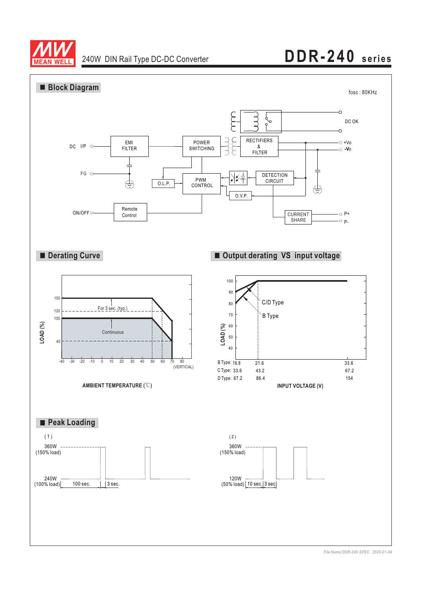

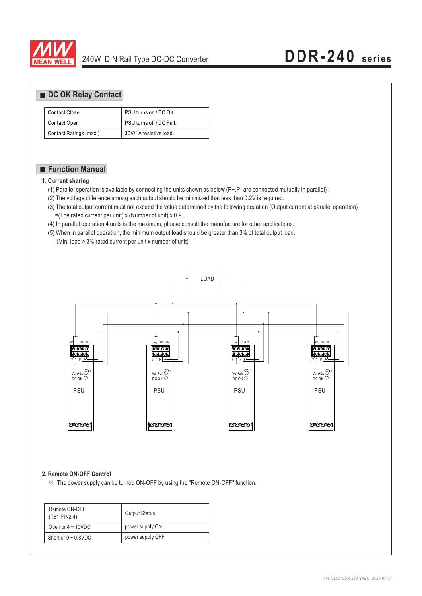

#### ■ DC OK Relay Contact

| Contact Close          | PSU turns on / DC OK.    |
|------------------------|--------------------------|
| Contact Open           | PSU turns off / DC Fail. |
| Contact Ratings (max.) | 30V/1A resistive load.   |

### **Function Manual**

#### **1. Current sharing**

- (1) Parallel operation is available by connecting the units shown as below (P+,P- are connected mutually in parallel) :
- (2) The voltage difference among each output should be minimized that less than 0.2V is required.
- (3) The total output current must not exceed the value determined by the following equation (Output current at parallel operation)  $=($ The rated current per unit) x (Number of unit) x 0.9.
- (4) In parallel operation 4 units is the maximum, please consult the manufacture for other applications.
- (5) When in parallel operation, the minimum output load should be greater than 3% of total output load.
	- (Min. load > 3% rated current per unit x number of unit)



#### **2. Remote ON-OFF Control**

※ The power supply can be turned ON-OFF by using the "Remote ON-OFF" function.

| Remote ON-OFF<br>(TB1 PIN2,4) | <b>Output Status</b> |
|-------------------------------|----------------------|
| Open or $4 \sim 10$ VDC       | power supply ON      |
| Short or $0 \sim 0.8$ VDC     | power supply OFF     |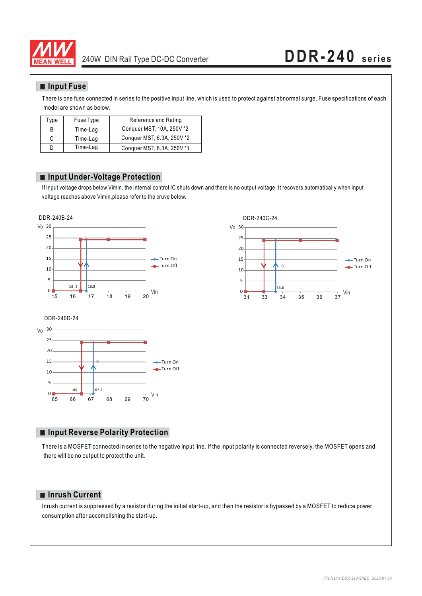

### **Input Fuse**

There is one fuse connected in series to the positive input line, which is used to protect against abnormal surge. Fuse specifications of each model are shown as below.

| Type | Fuse Type | Reference and Rating       |
|------|-----------|----------------------------|
| B    | Time-Lag  | Conquer MST, 10A, 250V *2  |
| C    | Time-Lag  | Conquer MST, 6.3A, 250V *2 |
| D    | Time-Lag  | Conquer MST, 6.3A, 250V *1 |

#### **Input Under-Voltage Protection**

If input voltage drops below Vimin, the internal control IC shuts down and there is no output voltage. It recovers automatically when input voltage reaches above Vimin,please refer to the cruve below.







#### **Input Reverse Polarity Protection**

There is a MOSFET connected in series to the negative input line. If the input polarity is connected reversely, the MOSFET opens and there will be no output to protect the unit.

#### **Inrush Current**

Inrush current is suppressed by a resistor during the initial start-up, and then the resistor is bypassed by a MOSFET to reduce power consumption after accomplishing the start-up.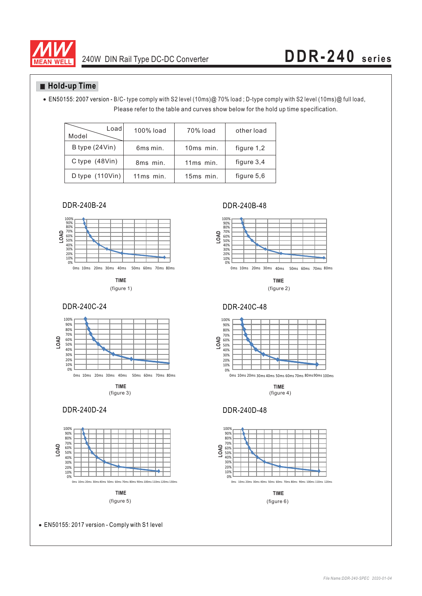

### **Hold-up Time**

Please refer to the table and curves show below for the hold up time specification. EN50155: 2007 version - B/C- type comply with S2 level (10ms)@ 70% load ; D-type comply with S2 level (10ms)@ full load,

| Load<br>Model                     | 100% load | 70% load  | other load |
|-----------------------------------|-----------|-----------|------------|
| B type (24Vin)                    | 6ms min.  | 10ms min. | figure 1,2 |
| C type $(48Vin)$                  | 8ms min.  | 11ms min. | figure 3,4 |
| D type $(110 \text{V} \text{in})$ | 11ms min. | 15ms min. | figure 5.6 |

DDR-240B-24 DDR-240B-48



**TIME**



(figure 3) (figure 4)

#### DDR-240D-24 DDR-240D-48



EN50155: 2017 version - Comply with S1 level



**TIME** (figure 1) (figure 2)



**TIME**



**TIME**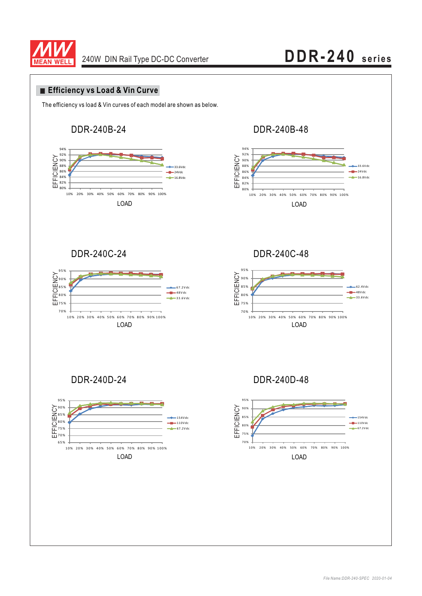

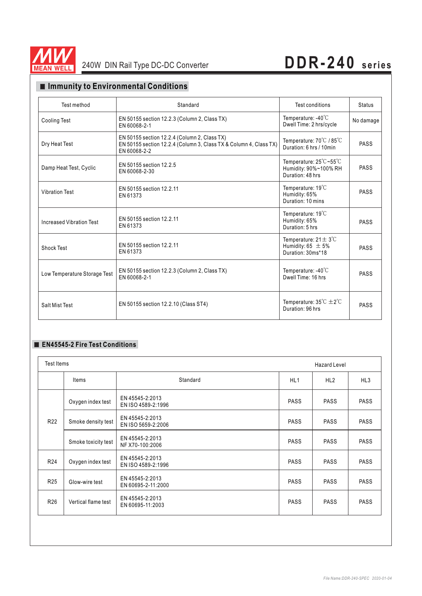

### **Immunity to Environmental Conditions**

| Test method                  | Standard                                                                                                                          | Test conditions                                                                           | <b>Status</b> |
|------------------------------|-----------------------------------------------------------------------------------------------------------------------------------|-------------------------------------------------------------------------------------------|---------------|
| <b>Cooling Test</b>          | EN 50155 section 12.2.3 (Column 2, Class TX)<br>EN 60068-2-1                                                                      | Temperature: $-40^{\circ}$ C<br>Dwell Time: 2 hrs/cycle                                   | No damage     |
| Dry Heat Test                | EN 50155 section 12.2.4 (Column 2, Class TX)<br>EN 50155 section 12.2.4 (Column 3, Class TX & Column 4, Class TX)<br>EN 60068-2-2 | Temperature: $70^{\circ}$ C / 85 $^{\circ}$ C<br>Duration: 6 hrs / 10min                  | <b>PASS</b>   |
| Damp Heat Test, Cyclic       | EN 50155 section 12.2.5<br>EN 60068-2-30                                                                                          | Temperature: $25^{\circ}$ C ~55 $^{\circ}$ C<br>Humidity: 90%~100% RH<br>Duration: 48 hrs | <b>PASS</b>   |
| <b>Vibration Test</b>        | EN 50155 section 12.2.11<br>EN 61373                                                                                              | Temperature: $19^{\circ}$ C<br>Humidity: 65%<br>Duration: 10 mins                         | <b>PASS</b>   |
| Increased Vibration Test     | EN 50155 section 12.2.11<br>EN 61373                                                                                              | Temperature: $19^{\circ}$ C<br>Humidity: 65%<br>Duration: 5 hrs                           | PASS          |
| Shock Test                   | EN 50155 section 12.2.11<br>EN 61373                                                                                              | Temperature: $21 \pm 3^{\circ}$ C<br>Humidity: 65 $\pm$ 5%<br>Duration: 30ms*18           | <b>PASS</b>   |
| Low Temperature Storage Test | EN 50155 section 12.2.3 (Column 2, Class TX)<br>EN 60068-2-1                                                                      | Temperature: $-40^{\circ}$ C<br>Dwell Time: 16 hrs                                        | PASS          |
| Salt Mist Test               | EN 50155 section 12.2.10 (Class ST4)                                                                                              | Temperature: $35^{\circ}C \pm 2^{\circ}C$<br>Duration: 96 hrs                             | PASS          |

#### **EN45545-2 Fire Test Conditions**

| Test Items      |                     |                                       | <b>Hazard Level</b> |                 |             |
|-----------------|---------------------|---------------------------------------|---------------------|-----------------|-------------|
|                 | Items               | Standard                              | HL <sub>1</sub>     | HL <sub>2</sub> | HL3         |
| R <sub>22</sub> | Oxygen index test   | EN 45545-2:2013<br>EN ISO 4589-2:1996 | <b>PASS</b>         | <b>PASS</b>     | <b>PASS</b> |
|                 | Smoke density test  | EN 45545-2:2013<br>EN ISO 5659-2:2006 | <b>PASS</b>         | <b>PASS</b>     | <b>PASS</b> |
|                 | Smoke toxicity test | EN 45545-2:2013<br>NF X70-100:2006    | <b>PASS</b>         | <b>PASS</b>     | <b>PASS</b> |
| R <sub>24</sub> | Oxygen index test   | EN 45545-2:2013<br>EN ISO 4589-2:1996 | <b>PASS</b>         | <b>PASS</b>     | <b>PASS</b> |
| R <sub>25</sub> | Glow-wire test      | EN 45545-2:2013<br>EN 60695-2-11:2000 | <b>PASS</b>         | <b>PASS</b>     | <b>PASS</b> |
| R <sub>26</sub> | Vertical flame test | EN 45545-2:2013<br>EN 60695-11:2003   | <b>PASS</b>         | <b>PASS</b>     | <b>PASS</b> |